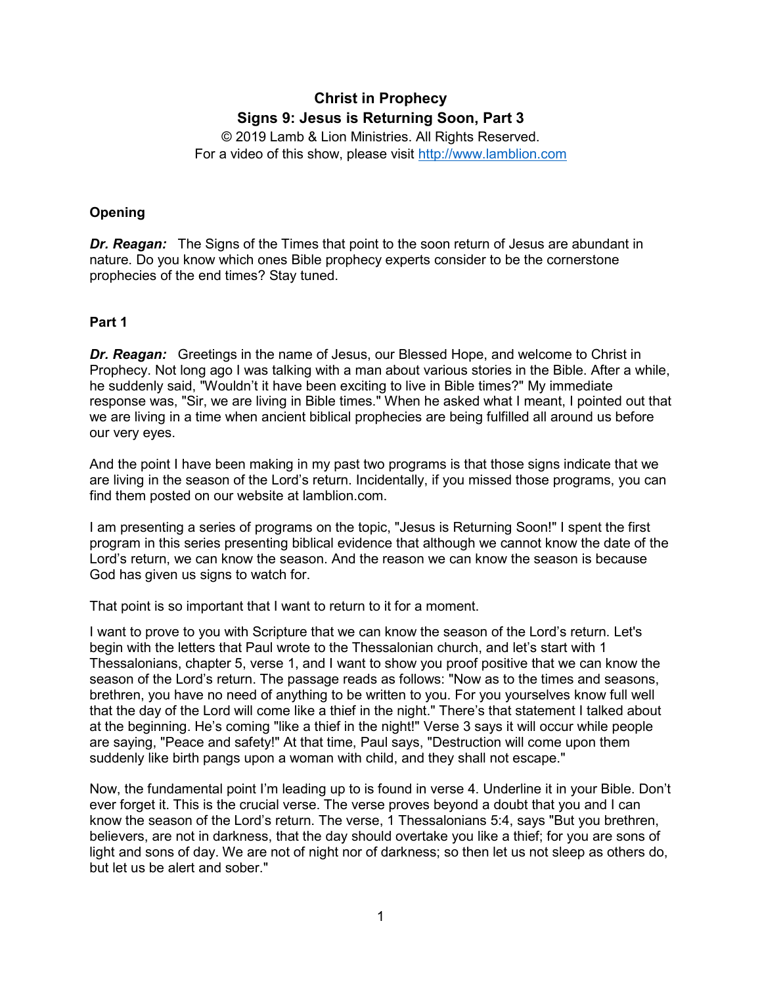# **Christ in Prophecy Signs 9: Jesus is Returning Soon, Part 3**

© 2019 Lamb & Lion Ministries. All Rights Reserved. For a video of this show, please visit [http://www.lamblion.com](http://www.lamblion.com/)

## **Opening**

**Dr. Reagan:** The Signs of the Times that point to the soon return of Jesus are abundant in nature. Do you know which ones Bible prophecy experts consider to be the cornerstone prophecies of the end times? Stay tuned.

## **Part 1**

**Dr. Reagan:** Greetings in the name of Jesus, our Blessed Hope, and welcome to Christ in Prophecy. Not long ago I was talking with a man about various stories in the Bible. After a while, he suddenly said, "Wouldn't it have been exciting to live in Bible times?" My immediate response was, "Sir, we are living in Bible times." When he asked what I meant, I pointed out that we are living in a time when ancient biblical prophecies are being fulfilled all around us before our very eyes.

And the point I have been making in my past two programs is that those signs indicate that we are living in the season of the Lord's return. Incidentally, if you missed those programs, you can find them posted on our website at lamblion.com.

I am presenting a series of programs on the topic, "Jesus is Returning Soon!" I spent the first program in this series presenting biblical evidence that although we cannot know the date of the Lord's return, we can know the season. And the reason we can know the season is because God has given us signs to watch for.

That point is so important that I want to return to it for a moment.

I want to prove to you with Scripture that we can know the season of the Lord's return. Let's begin with the letters that Paul wrote to the Thessalonian church, and let's start with 1 Thessalonians, chapter 5, verse 1, and I want to show you proof positive that we can know the season of the Lord's return. The passage reads as follows: "Now as to the times and seasons, brethren, you have no need of anything to be written to you. For you yourselves know full well that the day of the Lord will come like a thief in the night." There's that statement I talked about at the beginning. He's coming "like a thief in the night!" Verse 3 says it will occur while people are saying, "Peace and safety!" At that time, Paul says, "Destruction will come upon them suddenly like birth pangs upon a woman with child, and they shall not escape."

Now, the fundamental point I'm leading up to is found in verse 4. Underline it in your Bible. Don't ever forget it. This is the crucial verse. The verse proves beyond a doubt that you and I can know the season of the Lord's return. The verse, 1 Thessalonians 5:4, says "But you brethren, believers, are not in darkness, that the day should overtake you like a thief; for you are sons of light and sons of day. We are not of night nor of darkness; so then let us not sleep as others do, but let us be alert and sober."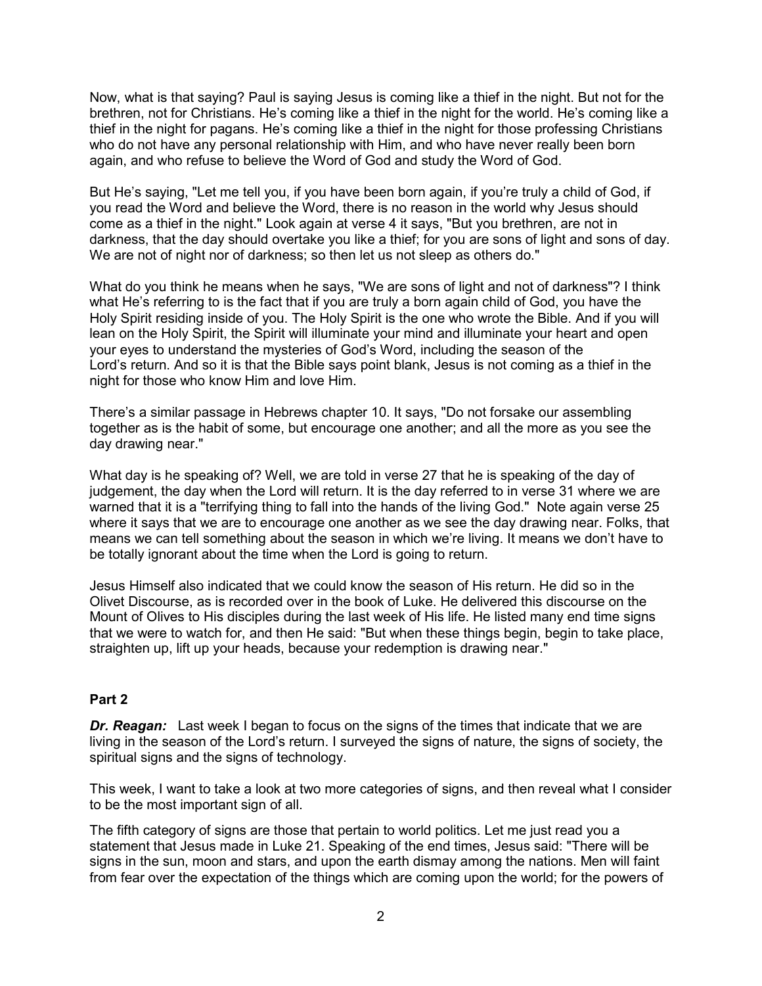Now, what is that saying? Paul is saying Jesus is coming like a thief in the night. But not for the brethren, not for Christians. He's coming like a thief in the night for the world. He's coming like a thief in the night for pagans. He's coming like a thief in the night for those professing Christians who do not have any personal relationship with Him, and who have never really been born again, and who refuse to believe the Word of God and study the Word of God.

But He's saying, "Let me tell you, if you have been born again, if you're truly a child of God, if you read the Word and believe the Word, there is no reason in the world why Jesus should come as a thief in the night." Look again at verse 4 it says, "But you brethren, are not in darkness, that the day should overtake you like a thief; for you are sons of light and sons of day. We are not of night nor of darkness; so then let us not sleep as others do."

What do you think he means when he says, "We are sons of light and not of darkness"? I think what He's referring to is the fact that if you are truly a born again child of God, you have the Holy Spirit residing inside of you. The Holy Spirit is the one who wrote the Bible. And if you will lean on the Holy Spirit, the Spirit will illuminate your mind and illuminate your heart and open your eyes to understand the mysteries of God's Word, including the season of the Lord's return. And so it is that the Bible says point blank, Jesus is not coming as a thief in the night for those who know Him and love Him.

There's a similar passage in Hebrews chapter 10. It says, "Do not forsake our assembling together as is the habit of some, but encourage one another; and all the more as you see the day drawing near."

What day is he speaking of? Well, we are told in verse 27 that he is speaking of the day of judgement, the day when the Lord will return. It is the day referred to in verse 31 where we are warned that it is a "terrifying thing to fall into the hands of the living God." Note again verse 25 where it says that we are to encourage one another as we see the day drawing near. Folks, that means we can tell something about the season in which we're living. It means we don't have to be totally ignorant about the time when the Lord is going to return.

Jesus Himself also indicated that we could know the season of His return. He did so in the Olivet Discourse, as is recorded over in the book of Luke. He delivered this discourse on the Mount of Olives to His disciples during the last week of His life. He listed many end time signs that we were to watch for, and then He said: "But when these things begin, begin to take place, straighten up, lift up your heads, because your redemption is drawing near."

## **Part 2**

**Dr. Reagan:** Last week I began to focus on the signs of the times that indicate that we are living in the season of the Lord's return. I surveyed the signs of nature, the signs of society, the spiritual signs and the signs of technology.

This week, I want to take a look at two more categories of signs, and then reveal what I consider to be the most important sign of all.

The fifth category of signs are those that pertain to world politics. Let me just read you a statement that Jesus made in Luke 21. Speaking of the end times, Jesus said: "There will be signs in the sun, moon and stars, and upon the earth dismay among the nations. Men will faint from fear over the expectation of the things which are coming upon the world; for the powers of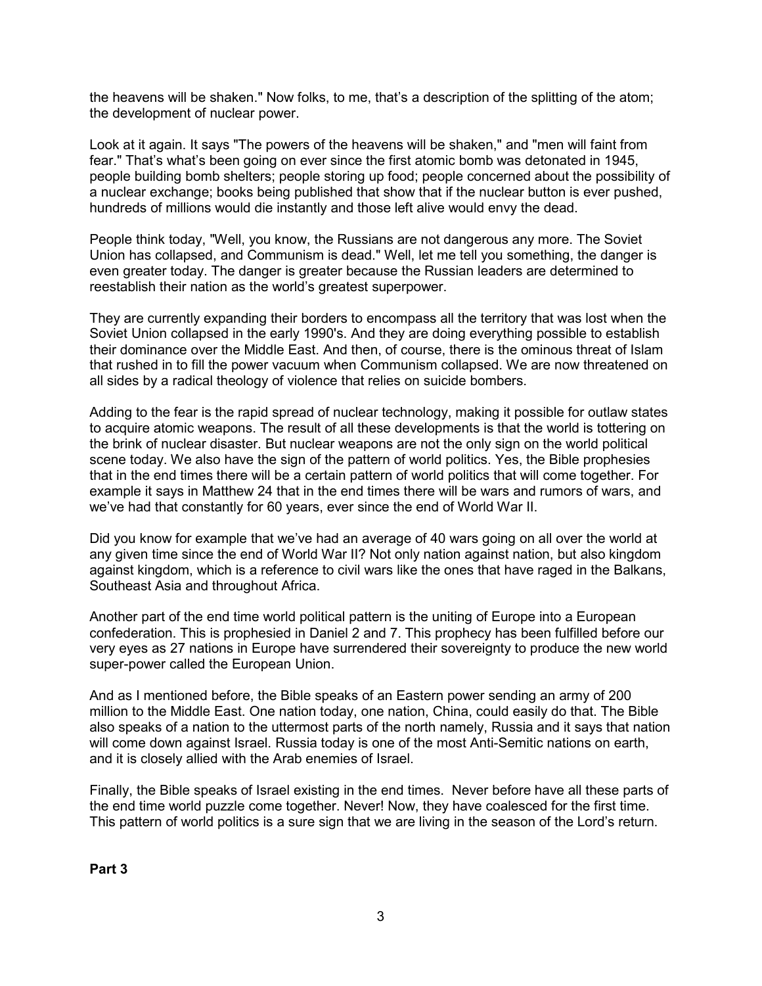the heavens will be shaken." Now folks, to me, that's a description of the splitting of the atom; the development of nuclear power.

Look at it again. It says "The powers of the heavens will be shaken," and "men will faint from fear." That's what's been going on ever since the first atomic bomb was detonated in 1945, people building bomb shelters; people storing up food; people concerned about the possibility of a nuclear exchange; books being published that show that if the nuclear button is ever pushed, hundreds of millions would die instantly and those left alive would envy the dead.

People think today, "Well, you know, the Russians are not dangerous any more. The Soviet Union has collapsed, and Communism is dead." Well, let me tell you something, the danger is even greater today. The danger is greater because the Russian leaders are determined to reestablish their nation as the world's greatest superpower.

They are currently expanding their borders to encompass all the territory that was lost when the Soviet Union collapsed in the early 1990's. And they are doing everything possible to establish their dominance over the Middle East. And then, of course, there is the ominous threat of Islam that rushed in to fill the power vacuum when Communism collapsed. We are now threatened on all sides by a radical theology of violence that relies on suicide bombers.

Adding to the fear is the rapid spread of nuclear technology, making it possible for outlaw states to acquire atomic weapons. The result of all these developments is that the world is tottering on the brink of nuclear disaster. But nuclear weapons are not the only sign on the world political scene today. We also have the sign of the pattern of world politics. Yes, the Bible prophesies that in the end times there will be a certain pattern of world politics that will come together. For example it says in Matthew 24 that in the end times there will be wars and rumors of wars, and we've had that constantly for 60 years, ever since the end of World War II.

Did you know for example that we've had an average of 40 wars going on all over the world at any given time since the end of World War II? Not only nation against nation, but also kingdom against kingdom, which is a reference to civil wars like the ones that have raged in the Balkans, Southeast Asia and throughout Africa.

Another part of the end time world political pattern is the uniting of Europe into a European confederation. This is prophesied in Daniel 2 and 7. This prophecy has been fulfilled before our very eyes as 27 nations in Europe have surrendered their sovereignty to produce the new world super-power called the European Union.

And as I mentioned before, the Bible speaks of an Eastern power sending an army of 200 million to the Middle East. One nation today, one nation, China, could easily do that. The Bible also speaks of a nation to the uttermost parts of the north namely, Russia and it says that nation will come down against Israel. Russia today is one of the most Anti-Semitic nations on earth, and it is closely allied with the Arab enemies of Israel.

Finally, the Bible speaks of Israel existing in the end times. Never before have all these parts of the end time world puzzle come together. Never! Now, they have coalesced for the first time. This pattern of world politics is a sure sign that we are living in the season of the Lord's return.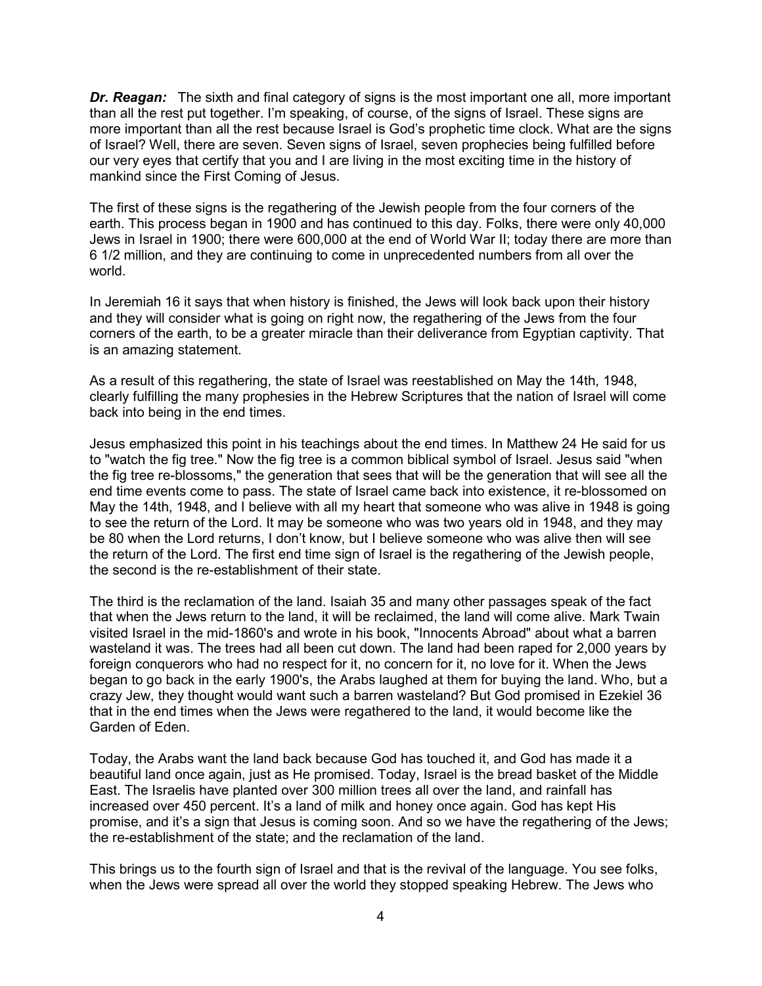*Dr. Reagan:* The sixth and final category of signs is the most important one all, more important than all the rest put together. I'm speaking, of course, of the signs of Israel. These signs are more important than all the rest because Israel is God's prophetic time clock. What are the signs of Israel? Well, there are seven. Seven signs of Israel, seven prophecies being fulfilled before our very eyes that certify that you and I are living in the most exciting time in the history of mankind since the First Coming of Jesus.

The first of these signs is the regathering of the Jewish people from the four corners of the earth. This process began in 1900 and has continued to this day. Folks, there were only 40,000 Jews in Israel in 1900; there were 600,000 at the end of World War II; today there are more than 6 1/2 million, and they are continuing to come in unprecedented numbers from all over the world.

In Jeremiah 16 it says that when history is finished, the Jews will look back upon their history and they will consider what is going on right now, the regathering of the Jews from the four corners of the earth, to be a greater miracle than their deliverance from Egyptian captivity. That is an amazing statement.

As a result of this regathering, the state of Israel was reestablished on May the 14th, 1948, clearly fulfilling the many prophesies in the Hebrew Scriptures that the nation of Israel will come back into being in the end times.

Jesus emphasized this point in his teachings about the end times. In Matthew 24 He said for us to "watch the fig tree." Now the fig tree is a common biblical symbol of Israel. Jesus said "when the fig tree re-blossoms," the generation that sees that will be the generation that will see all the end time events come to pass. The state of Israel came back into existence, it re-blossomed on May the 14th, 1948, and I believe with all my heart that someone who was alive in 1948 is going to see the return of the Lord. It may be someone who was two years old in 1948, and they may be 80 when the Lord returns, I don't know, but I believe someone who was alive then will see the return of the Lord. The first end time sign of Israel is the regathering of the Jewish people, the second is the re-establishment of their state.

The third is the reclamation of the land. Isaiah 35 and many other passages speak of the fact that when the Jews return to the land, it will be reclaimed, the land will come alive. Mark Twain visited Israel in the mid-1860's and wrote in his book, "Innocents Abroad" about what a barren wasteland it was. The trees had all been cut down. The land had been raped for 2,000 years by foreign conquerors who had no respect for it, no concern for it, no love for it. When the Jews began to go back in the early 1900's, the Arabs laughed at them for buying the land. Who, but a crazy Jew, they thought would want such a barren wasteland? But God promised in Ezekiel 36 that in the end times when the Jews were regathered to the land, it would become like the Garden of Eden.

Today, the Arabs want the land back because God has touched it, and God has made it a beautiful land once again, just as He promised. Today, Israel is the bread basket of the Middle East. The Israelis have planted over 300 million trees all over the land, and rainfall has increased over 450 percent. It's a land of milk and honey once again. God has kept His promise, and it's a sign that Jesus is coming soon. And so we have the regathering of the Jews; the re-establishment of the state; and the reclamation of the land.

This brings us to the fourth sign of Israel and that is the revival of the language. You see folks, when the Jews were spread all over the world they stopped speaking Hebrew. The Jews who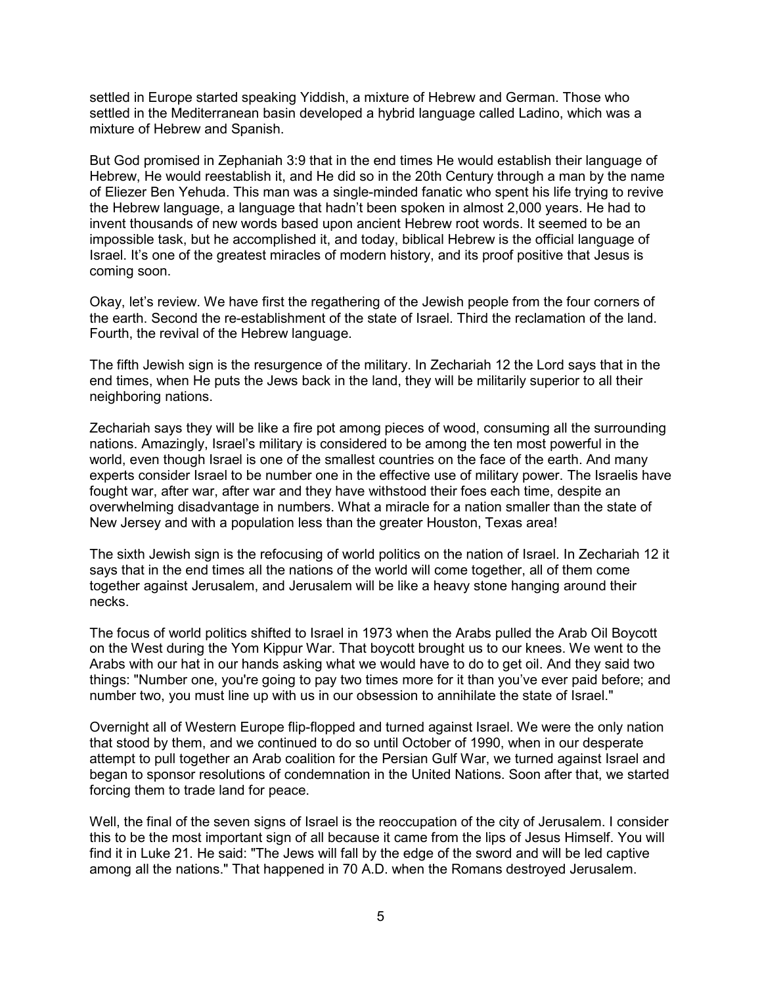settled in Europe started speaking Yiddish, a mixture of Hebrew and German. Those who settled in the Mediterranean basin developed a hybrid language called Ladino, which was a mixture of Hebrew and Spanish.

But God promised in Zephaniah 3:9 that in the end times He would establish their language of Hebrew, He would reestablish it, and He did so in the 20th Century through a man by the name of Eliezer Ben Yehuda. This man was a single-minded fanatic who spent his life trying to revive the Hebrew language, a language that hadn't been spoken in almost 2,000 years. He had to invent thousands of new words based upon ancient Hebrew root words. It seemed to be an impossible task, but he accomplished it, and today, biblical Hebrew is the official language of Israel. It's one of the greatest miracles of modern history, and its proof positive that Jesus is coming soon.

Okay, let's review. We have first the regathering of the Jewish people from the four corners of the earth. Second the re-establishment of the state of Israel. Third the reclamation of the land. Fourth, the revival of the Hebrew language.

The fifth Jewish sign is the resurgence of the military. In Zechariah 12 the Lord says that in the end times, when He puts the Jews back in the land, they will be militarily superior to all their neighboring nations.

Zechariah says they will be like a fire pot among pieces of wood, consuming all the surrounding nations. Amazingly, Israel's military is considered to be among the ten most powerful in the world, even though Israel is one of the smallest countries on the face of the earth. And many experts consider Israel to be number one in the effective use of military power. The Israelis have fought war, after war, after war and they have withstood their foes each time, despite an overwhelming disadvantage in numbers. What a miracle for a nation smaller than the state of New Jersey and with a population less than the greater Houston, Texas area!

The sixth Jewish sign is the refocusing of world politics on the nation of Israel. In Zechariah 12 it says that in the end times all the nations of the world will come together, all of them come together against Jerusalem, and Jerusalem will be like a heavy stone hanging around their necks.

The focus of world politics shifted to Israel in 1973 when the Arabs pulled the Arab Oil Boycott on the West during the Yom Kippur War. That boycott brought us to our knees. We went to the Arabs with our hat in our hands asking what we would have to do to get oil. And they said two things: "Number one, you're going to pay two times more for it than you've ever paid before; and number two, you must line up with us in our obsession to annihilate the state of Israel."

Overnight all of Western Europe flip-flopped and turned against Israel. We were the only nation that stood by them, and we continued to do so until October of 1990, when in our desperate attempt to pull together an Arab coalition for the Persian Gulf War, we turned against Israel and began to sponsor resolutions of condemnation in the United Nations. Soon after that, we started forcing them to trade land for peace.

Well, the final of the seven signs of Israel is the reoccupation of the city of Jerusalem. I consider this to be the most important sign of all because it came from the lips of Jesus Himself. You will find it in Luke 21. He said: "The Jews will fall by the edge of the sword and will be led captive among all the nations." That happened in 70 A.D. when the Romans destroyed Jerusalem.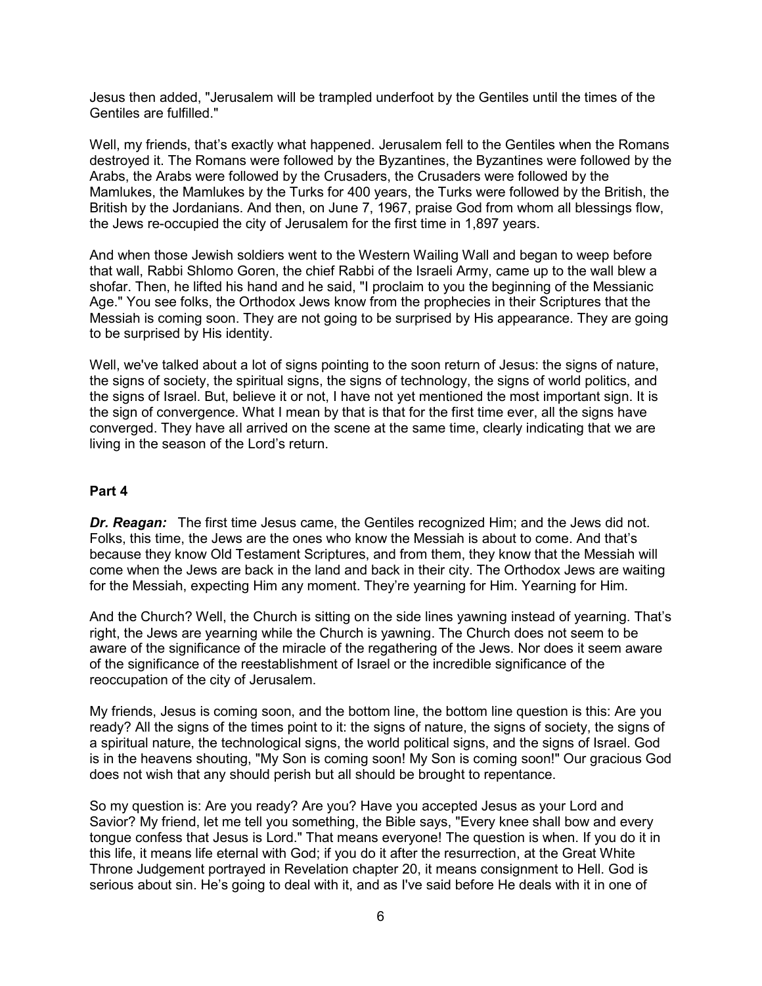Jesus then added, "Jerusalem will be trampled underfoot by the Gentiles until the times of the Gentiles are fulfilled."

Well, my friends, that's exactly what happened. Jerusalem fell to the Gentiles when the Romans destroyed it. The Romans were followed by the Byzantines, the Byzantines were followed by the Arabs, the Arabs were followed by the Crusaders, the Crusaders were followed by the Mamlukes, the Mamlukes by the Turks for 400 years, the Turks were followed by the British, the British by the Jordanians. And then, on June 7, 1967, praise God from whom all blessings flow, the Jews re-occupied the city of Jerusalem for the first time in 1,897 years.

And when those Jewish soldiers went to the Western Wailing Wall and began to weep before that wall, Rabbi Shlomo Goren, the chief Rabbi of the Israeli Army, came up to the wall blew a shofar. Then, he lifted his hand and he said, "I proclaim to you the beginning of the Messianic Age." You see folks, the Orthodox Jews know from the prophecies in their Scriptures that the Messiah is coming soon. They are not going to be surprised by His appearance. They are going to be surprised by His identity.

Well, we've talked about a lot of signs pointing to the soon return of Jesus: the signs of nature, the signs of society, the spiritual signs, the signs of technology, the signs of world politics, and the signs of Israel. But, believe it or not, I have not yet mentioned the most important sign. It is the sign of convergence. What I mean by that is that for the first time ever, all the signs have converged. They have all arrived on the scene at the same time, clearly indicating that we are living in the season of the Lord's return.

#### **Part 4**

*Dr. Reagan:* The first time Jesus came, the Gentiles recognized Him; and the Jews did not. Folks, this time, the Jews are the ones who know the Messiah is about to come. And that's because they know Old Testament Scriptures, and from them, they know that the Messiah will come when the Jews are back in the land and back in their city. The Orthodox Jews are waiting for the Messiah, expecting Him any moment. They're yearning for Him. Yearning for Him.

And the Church? Well, the Church is sitting on the side lines yawning instead of yearning. That's right, the Jews are yearning while the Church is yawning. The Church does not seem to be aware of the significance of the miracle of the regathering of the Jews. Nor does it seem aware of the significance of the reestablishment of Israel or the incredible significance of the reoccupation of the city of Jerusalem.

My friends, Jesus is coming soon, and the bottom line, the bottom line question is this: Are you ready? All the signs of the times point to it: the signs of nature, the signs of society, the signs of a spiritual nature, the technological signs, the world political signs, and the signs of Israel. God is in the heavens shouting, "My Son is coming soon! My Son is coming soon!" Our gracious God does not wish that any should perish but all should be brought to repentance.

So my question is: Are you ready? Are you? Have you accepted Jesus as your Lord and Savior? My friend, let me tell you something, the Bible says, "Every knee shall bow and every tongue confess that Jesus is Lord." That means everyone! The question is when. If you do it in this life, it means life eternal with God; if you do it after the resurrection, at the Great White Throne Judgement portrayed in Revelation chapter 20, it means consignment to Hell. God is serious about sin. He's going to deal with it, and as I've said before He deals with it in one of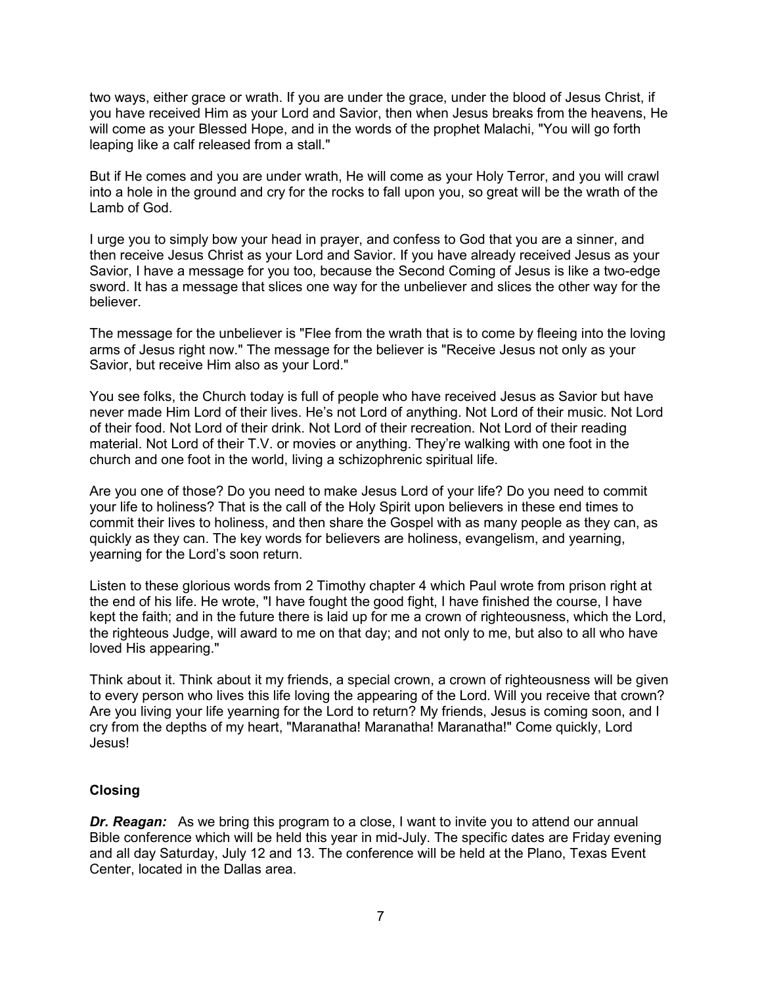two ways, either grace or wrath. If you are under the grace, under the blood of Jesus Christ, if you have received Him as your Lord and Savior, then when Jesus breaks from the heavens, He will come as your Blessed Hope, and in the words of the prophet Malachi, "You will go forth leaping like a calf released from a stall."

But if He comes and you are under wrath, He will come as your Holy Terror, and you will crawl into a hole in the ground and cry for the rocks to fall upon you, so great will be the wrath of the Lamb of God.

I urge you to simply bow your head in prayer, and confess to God that you are a sinner, and then receive Jesus Christ as your Lord and Savior. If you have already received Jesus as your Savior, I have a message for you too, because the Second Coming of Jesus is like a two-edge sword. It has a message that slices one way for the unbeliever and slices the other way for the believer.

The message for the unbeliever is "Flee from the wrath that is to come by fleeing into the loving arms of Jesus right now." The message for the believer is "Receive Jesus not only as your Savior, but receive Him also as your Lord."

You see folks, the Church today is full of people who have received Jesus as Savior but have never made Him Lord of their lives. He's not Lord of anything. Not Lord of their music. Not Lord of their food. Not Lord of their drink. Not Lord of their recreation. Not Lord of their reading material. Not Lord of their T.V. or movies or anything. They're walking with one foot in the church and one foot in the world, living a schizophrenic spiritual life.

Are you one of those? Do you need to make Jesus Lord of your life? Do you need to commit your life to holiness? That is the call of the Holy Spirit upon believers in these end times to commit their lives to holiness, and then share the Gospel with as many people as they can, as quickly as they can. The key words for believers are holiness, evangelism, and yearning, yearning for the Lord's soon return.

Listen to these glorious words from 2 Timothy chapter 4 which Paul wrote from prison right at the end of his life. He wrote, "I have fought the good fight, I have finished the course, I have kept the faith; and in the future there is laid up for me a crown of righteousness, which the Lord, the righteous Judge, will award to me on that day; and not only to me, but also to all who have loved His appearing."

Think about it. Think about it my friends, a special crown, a crown of righteousness will be given to every person who lives this life loving the appearing of the Lord. Will you receive that crown? Are you living your life yearning for the Lord to return? My friends, Jesus is coming soon, and I cry from the depths of my heart, "Maranatha! Maranatha! Maranatha!" Come quickly, Lord Jesus!

## **Closing**

**Dr. Reagan:** As we bring this program to a close, I want to invite you to attend our annual Bible conference which will be held this year in mid-July. The specific dates are Friday evening and all day Saturday, July 12 and 13. The conference will be held at the Plano, Texas Event Center, located in the Dallas area.